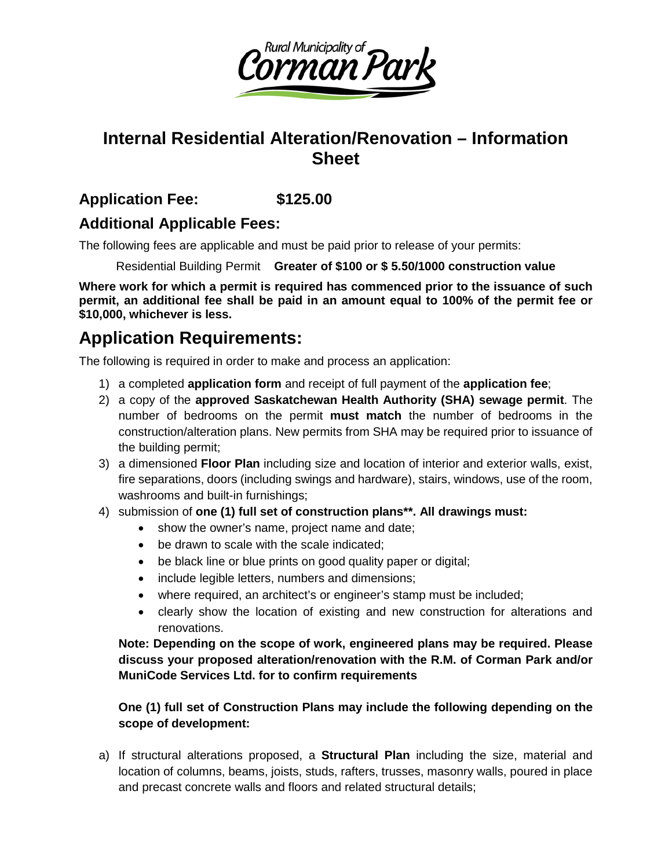

## **Internal Residential Alteration/Renovation – Information Sheet**

### **Application Fee: \$125.00**

### **Additional Applicable Fees:**

The following fees are applicable and must be paid prior to release of your permits:

Residential Building Permit **Greater of \$100 or \$ 5.50/1000 construction value** 

**Where work for which a permit is required has commenced prior to the issuance of such permit, an additional fee shall be paid in an amount equal to 100% of the permit fee or \$10,000, whichever is less.**

# **Application Requirements:**

The following is required in order to make and process an application:

- 1) a completed **application form** and receipt of full payment of the **application fee**;
- 2) a copy of the **approved Saskatchewan Health Authority (SHA) sewage permit**. The number of bedrooms on the permit **must match** the number of bedrooms in the construction/alteration plans. New permits from SHA may be required prior to issuance of the building permit;
- 3) a dimensioned **Floor Plan** including size and location of interior and exterior walls, exist, fire separations, doors (including swings and hardware), stairs, windows, use of the room, washrooms and built-in furnishings;
- 4) submission of **one (1) full set of construction plans\*\*. All drawings must:**
	- show the owner's name, project name and date;
	- be drawn to scale with the scale indicated;
	- be black line or blue prints on good quality paper or digital;
	- include legible letters, numbers and dimensions;
	- where required, an architect's or engineer's stamp must be included;
	- clearly show the location of existing and new construction for alterations and renovations.

**Note: Depending on the scope of work, engineered plans may be required. Please discuss your proposed alteration/renovation with the R.M. of Corman Park and/or MuniCode Services Ltd. for to confirm requirements**

#### **One (1) full set of Construction Plans may include the following depending on the scope of development:**

a) If structural alterations proposed, a **Structural Plan** including the size, material and location of columns, beams, joists, studs, rafters, trusses, masonry walls, poured in place and precast concrete walls and floors and related structural details;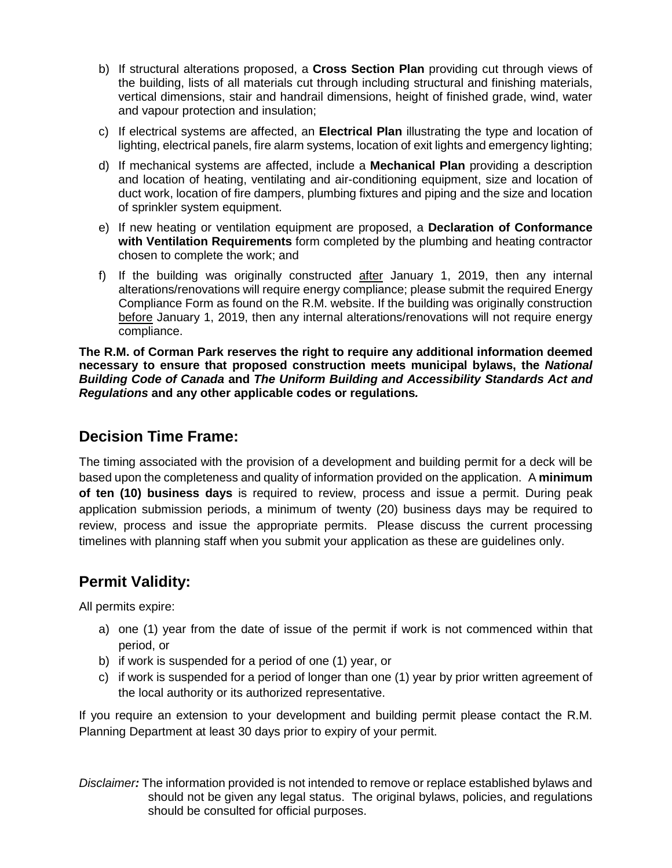- b) If structural alterations proposed, a **Cross Section Plan** providing cut through views of the building, lists of all materials cut through including structural and finishing materials, vertical dimensions, stair and handrail dimensions, height of finished grade, wind, water and vapour protection and insulation;
- c) If electrical systems are affected, an **Electrical Plan** illustrating the type and location of lighting, electrical panels, fire alarm systems, location of exit lights and emergency lighting;
- d) If mechanical systems are affected, include a **Mechanical Plan** providing a description and location of heating, ventilating and air-conditioning equipment, size and location of duct work, location of fire dampers, plumbing fixtures and piping and the size and location of sprinkler system equipment.
- e) If new heating or ventilation equipment are proposed, a **Declaration of Conformance with Ventilation Requirements** form completed by the plumbing and heating contractor chosen to complete the work; and
- f) If the building was originally constructed after January 1, 2019, then any internal alterations/renovations will require energy compliance; please submit the required Energy Compliance Form as found on the R.M. website. If the building was originally construction before January 1, 2019, then any internal alterations/renovations will not require energy compliance.

**The R.M. of Corman Park reserves the right to require any additional information deemed necessary to ensure that proposed construction meets municipal bylaws, the** *National Building Code of Canada* **and** *The Uniform Building and Accessibility Standards Act and Regulations* **and any other applicable codes or regulations***.*

### **Decision Time Frame:**

The timing associated with the provision of a development and building permit for a deck will be based upon the completeness and quality of information provided on the application. A **minimum of ten (10) business days** is required to review, process and issue a permit. During peak application submission periods, a minimum of twenty (20) business days may be required to review, process and issue the appropriate permits. Please discuss the current processing timelines with planning staff when you submit your application as these are guidelines only.

### **Permit Validity:**

All permits expire:

- a) one (1) year from the date of issue of the permit if work is not commenced within that period, or
- b) if work is suspended for a period of one (1) year, or
- c) if work is suspended for a period of longer than one (1) year by prior written agreement of the local authority or its authorized representative.

If you require an extension to your development and building permit please contact the R.M. Planning Department at least 30 days prior to expiry of your permit.

*Disclaimer:* The information provided is not intended to remove or replace established bylaws and should not be given any legal status. The original bylaws, policies, and regulations should be consulted for official purposes.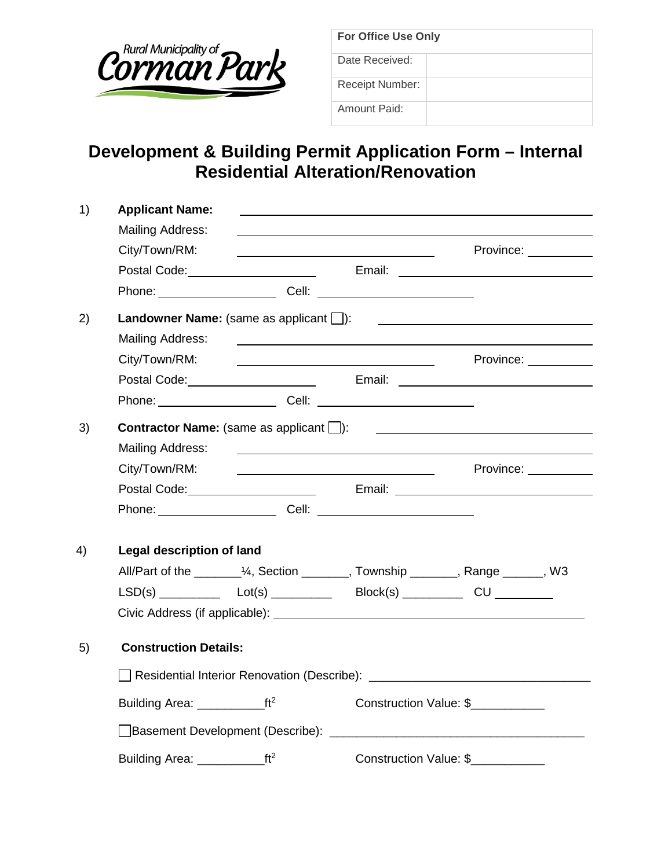

| <b>For Office Use Only</b> |  |  |
|----------------------------|--|--|
| Date Received:             |  |  |
| Receipt Number:            |  |  |
| Amount Paid:               |  |  |

## **Development & Building Permit Application Form – Internal Residential Alteration/Renovation**

| 1) | <b>Applicant Name:</b>                                                                                                                                                                                                         |  |                                                              |                                                                                                                                                                                                                                      |  |
|----|--------------------------------------------------------------------------------------------------------------------------------------------------------------------------------------------------------------------------------|--|--------------------------------------------------------------|--------------------------------------------------------------------------------------------------------------------------------------------------------------------------------------------------------------------------------------|--|
|    | Mailing Address:                                                                                                                                                                                                               |  | <u> 1980 - Andrea Andrew Maria (h. 1980).</u>                |                                                                                                                                                                                                                                      |  |
|    | City/Town/RM:                                                                                                                                                                                                                  |  |                                                              | Province: <u>___________</u>                                                                                                                                                                                                         |  |
|    |                                                                                                                                                                                                                                |  |                                                              | Postal Code: <u>New York: New York: New York: New York: New York: New York: New York: New York: New York: New York: New York: New York: New York: New York: New York: New York: New York: New York: New York: New York: New York</u> |  |
|    | Phone: Cell: Cell: Cell: Cell: Cell: Cell: Cell: Cell: Cell: Cell: Cell: Cell: Cell: Cell: Cell: Cell: Cell: C                                                                                                                 |  |                                                              |                                                                                                                                                                                                                                      |  |
| 2) |                                                                                                                                                                                                                                |  |                                                              |                                                                                                                                                                                                                                      |  |
|    | Mailing Address:                                                                                                                                                                                                               |  |                                                              | and the control of the control of the control of the control of the control of the control of the control of the                                                                                                                     |  |
|    | City/Town/RM:                                                                                                                                                                                                                  |  | <u> 1989 - Johann Stein, Amerikaansk politiker (</u> † 1908) | Province: __________                                                                                                                                                                                                                 |  |
|    |                                                                                                                                                                                                                                |  |                                                              | Postal Code: <u>New York: New York: New York: New York: New York: New York: New York: New York: New York: New York: New York: New York: New York: New York: New York: New York: New York: New York: New York: New York: New York</u> |  |
|    | Phone: Cell: 2000 Cell: 2000 Cell: 2000 Cell: 2000 Cell: 2000 Cell: 2000 Cell: 2000 Cell: 2000 Cell: 2000 Cell                                                                                                                 |  |                                                              |                                                                                                                                                                                                                                      |  |
| 3) | <b>Contractor Name:</b> (same as applicant $\Box$ ):<br><u> 1980 - Johann Stein, mars an deus an deus Amerikaanse komme</u>                                                                                                    |  |                                                              |                                                                                                                                                                                                                                      |  |
|    | Mailing Address:                                                                                                                                                                                                               |  | <u> 1989 - Johann Stein, mars an deus Frankrik (f. 1989)</u> |                                                                                                                                                                                                                                      |  |
|    |                                                                                                                                                                                                                                |  |                                                              |                                                                                                                                                                                                                                      |  |
|    |                                                                                                                                                                                                                                |  |                                                              | Postal Code: <u>New York: New York: New York: New York: New York: New York: New York: New York: New York: New York: New York: New York: New York: New York: New York: New York: New York: New York: New York: New York: New York</u> |  |
|    | Phone: Cell: 2008. Cell: 2008. Cell: 2008. Cell: 2008. Cell: 2008. 2009. 2009. 2009. 2009. 2009. 2009. 2009. 2009. 2009. 2009. 2009. 2009. 2009. 2009. 2009. 2009. 2009. 2009. 2009. 2009. 2009. 2009. 2009. 2009. 2009. 2009. |  |                                                              |                                                                                                                                                                                                                                      |  |
| 4) | Legal description of land                                                                                                                                                                                                      |  |                                                              |                                                                                                                                                                                                                                      |  |
|    |                                                                                                                                                                                                                                |  |                                                              | All/Part of the _________1/4, Section ________, Township _______, Range ______, W3                                                                                                                                                   |  |
|    |                                                                                                                                                                                                                                |  |                                                              |                                                                                                                                                                                                                                      |  |
|    |                                                                                                                                                                                                                                |  |                                                              |                                                                                                                                                                                                                                      |  |
| 5) | <b>Construction Details:</b>                                                                                                                                                                                                   |  |                                                              |                                                                                                                                                                                                                                      |  |
|    |                                                                                                                                                                                                                                |  |                                                              |                                                                                                                                                                                                                                      |  |
|    |                                                                                                                                                                                                                                |  |                                                              | Construction Value: \$                                                                                                                                                                                                               |  |
|    |                                                                                                                                                                                                                                |  |                                                              |                                                                                                                                                                                                                                      |  |
|    |                                                                                                                                                                                                                                |  |                                                              | Construction Value: \$                                                                                                                                                                                                               |  |